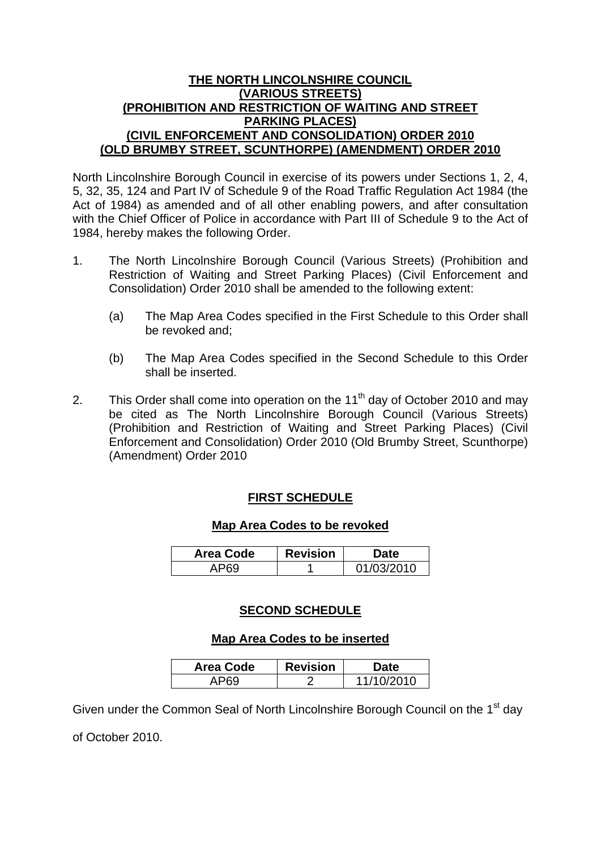### **THE NORTH LINCOLNSHIRE COUNCIL (VARIOUS STREETS) (PROHIBITION AND RESTRICTION OF WAITING AND STREET PARKING PLACES) (CIVIL ENFORCEMENT AND CONSOLIDATION) ORDER 2010 (OLD BRUMBY STREET, SCUNTHORPE) (AMENDMENT) ORDER 2010**

North Lincolnshire Borough Council in exercise of its powers under Sections 1, 2, 4, 5, 32, 35, 124 and Part IV of Schedule 9 of the Road Traffic Regulation Act 1984 (the Act of 1984) as amended and of all other enabling powers, and after consultation with the Chief Officer of Police in accordance with Part III of Schedule 9 to the Act of 1984, hereby makes the following Order.

- 1. The North Lincolnshire Borough Council (Various Streets) (Prohibition and Restriction of Waiting and Street Parking Places) (Civil Enforcement and Consolidation) Order 2010 shall be amended to the following extent:
	- (a) The Map Area Codes specified in the First Schedule to this Order shall be revoked and;
	- (b) The Map Area Codes specified in the Second Schedule to this Order shall be inserted.
- 2. This Order shall come into operation on the  $11<sup>th</sup>$  day of October 2010 and may be cited as The North Lincolnshire Borough Council (Various Streets) (Prohibition and Restriction of Waiting and Street Parking Places) (Civil Enforcement and Consolidation) Order 2010 (Old Brumby Street, Scunthorpe) (Amendment) Order 2010

# **FIRST SCHEDULE**

## **Map Area Codes to be revoked**

| Area Code | <b>Revision</b> | <b>Date</b> |
|-----------|-----------------|-------------|
| APV       |                 | 01/03/2010  |

# **SECOND SCHEDULE**

## **Map Area Codes to be inserted**

| <b>Area Code</b> | <b>Revision</b> | Date       |
|------------------|-----------------|------------|
|                  |                 | 11/10/2010 |

Given under the Common Seal of North Lincolnshire Borough Council on the 1<sup>st</sup> day

of October 2010.